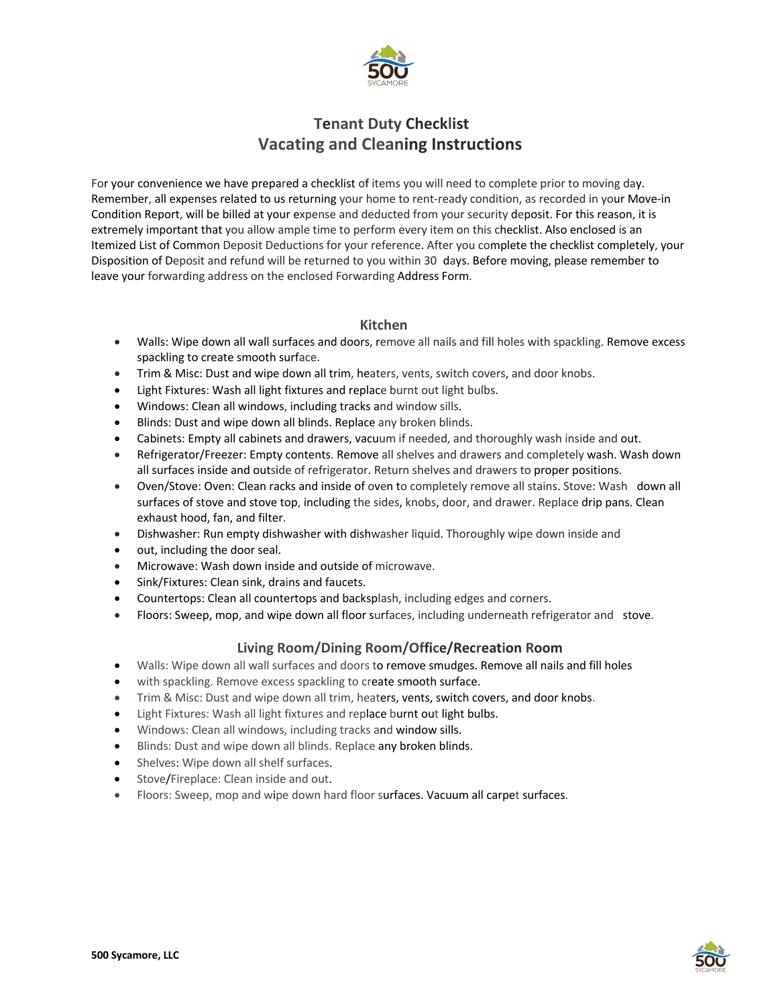

# **Tenant Duty Checklist Vacating and Cleaning Instructions**

For your convenience we have prepared a checklist of items you will need to complete prior to moving day. Remember, all expenses related to us returning your home to rent-ready condition, as recorded in your Move-in Condition Report, will be billed at your expense and deducted from your security deposit. For this reason, it is extremely important that you allow ample time to perform every item on this checklist. Also enclosed is an Itemized List of Common Deposit Deductions for your reference. After you complete the checklist completely, your Disposition of Deposit and refund will be returned to you within 30 days. Before moving, please remember to leave your forwarding address on the enclosed Forwarding Address Form.

## **Kitchen**

- Walls: Wipe down all wall surfaces and doors, remove all nails and fill holes with spackling. Remove excess spackling to create smooth surface.
- Trim & Misc: Dust and wipe down all trim, heaters, vents, switch covers, and door knobs.
- Light Fixtures: Wash all light fixtures and replace burnt out light bulbs.
- Windows: Clean all windows, including tracks and window sills.
- Blinds: Dust and wipe down all blinds. Replace any broken blinds.
- Cabinets: Empty all cabinets and drawers, vacuum if needed, and thoroughly wash inside and out.
- Refrigerator/Freezer: Empty contents. Remove all shelves and drawers and completely wash. Wash down all surfaces inside and outside of refrigerator. Return shelves and drawers to proper positions.
- Oven/Stove: Oven: Clean racks and inside of oven to completely remove all stains. Stove: Wash down all surfaces of stove and stove top, including the sides, knobs, door, and drawer. Replace drip pans. Clean exhaust hood, fan, and filter.
- Dishwasher: Run empty dishwasher with dishwasher liquid. Thoroughly wipe down inside and
- out, including the door seal.
- Microwave: Wash down inside and outside of microwave.
- Sink/Fixtures: Clean sink, drains and faucets.
- Countertops: Clean all countertops and backsplash, including edges and corners.
- Floors: Sweep, mop, and wipe down all floor surfaces, including underneath refrigerator and stove.

# **Living Room/Dining Room/Office/Recreation Room**

- Walls: Wipe down all wall surfaces and doors to remove smudges. Remove all nails and fill holes
- with spackling. Remove excess spackling to create smooth surface.
- Trim & Misc: Dust and wipe down all trim, heaters, vents, switch covers, and door knobs.
- Light Fixtures: Wash all light fixtures and replace burnt out light bulbs.
- Windows: Clean all windows, including tracks and window sills.
- Blinds: Dust and wipe down all blinds. Replace any broken blinds.
- Shelves: Wipe down all shelf surfaces.
- Stove/Fireplace: Clean inside and out.
- Floors: Sweep, mop and wipe down hard floor surfaces. Vacuum all carpet surfaces.